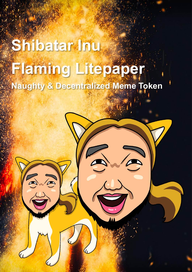## **Shibatar Inu Flaming Litepaper** Naughty & Decentralized Meme Token

 $\overline{\mathcal{L}}$